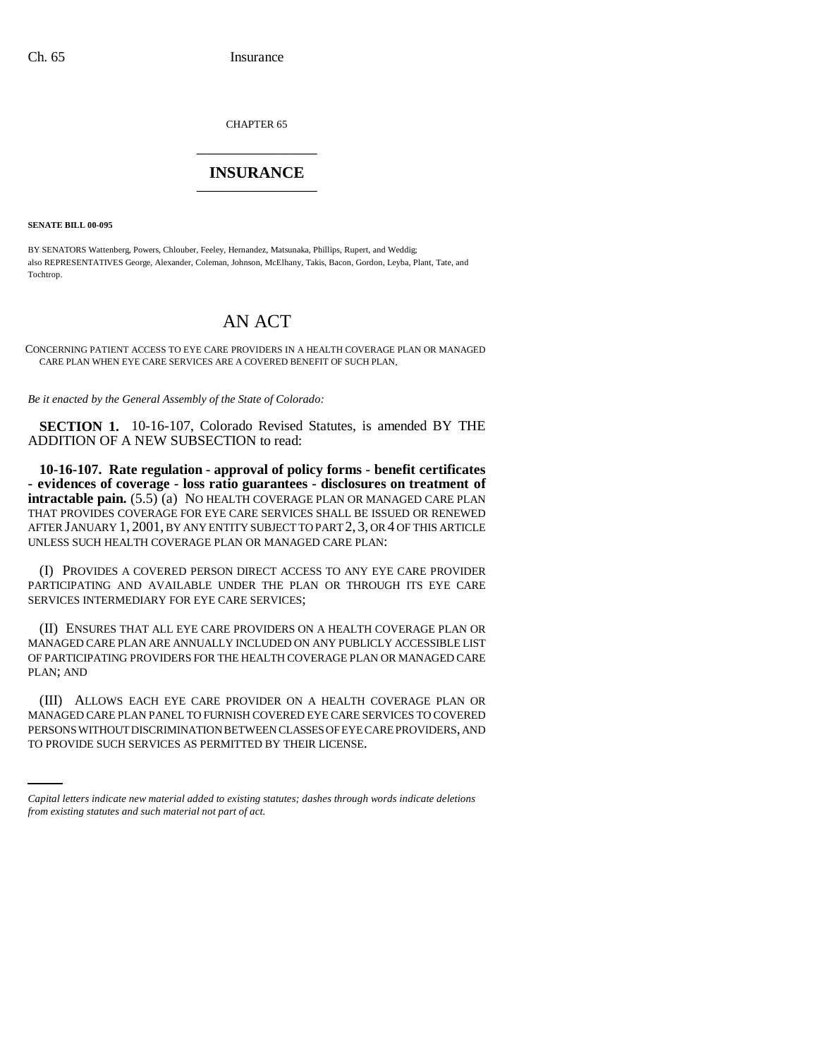CHAPTER 65 \_\_\_\_\_\_\_\_\_\_\_\_\_\_\_

## **INSURANCE** \_\_\_\_\_\_\_\_\_\_\_\_\_\_\_

**SENATE BILL 00-095** 

BY SENATORS Wattenberg, Powers, Chlouber, Feeley, Hernandez, Matsunaka, Phillips, Rupert, and Weddig; also REPRESENTATIVES George, Alexander, Coleman, Johnson, McElhany, Takis, Bacon, Gordon, Leyba, Plant, Tate, and Tochtrop.

## AN ACT

CONCERNING PATIENT ACCESS TO EYE CARE PROVIDERS IN A HEALTH COVERAGE PLAN OR MANAGED CARE PLAN WHEN EYE CARE SERVICES ARE A COVERED BENEFIT OF SUCH PLAN.

*Be it enacted by the General Assembly of the State of Colorado:*

**SECTION 1.** 10-16-107, Colorado Revised Statutes, is amended BY THE ADDITION OF A NEW SUBSECTION to read:

**10-16-107. Rate regulation - approval of policy forms - benefit certificates - evidences of coverage - loss ratio guarantees - disclosures on treatment of intractable pain.**  $(5.5)$ <sup>(a)</sup> NO HEALTH COVERAGE PLAN OR MANAGED CARE PLAN THAT PROVIDES COVERAGE FOR EYE CARE SERVICES SHALL BE ISSUED OR RENEWED AFTER JANUARY 1, 2001, BY ANY ENTITY SUBJECT TO PART 2, 3, OR 4 OF THIS ARTICLE UNLESS SUCH HEALTH COVERAGE PLAN OR MANAGED CARE PLAN:

(I) PROVIDES A COVERED PERSON DIRECT ACCESS TO ANY EYE CARE PROVIDER PARTICIPATING AND AVAILABLE UNDER THE PLAN OR THROUGH ITS EYE CARE SERVICES INTERMEDIARY FOR EYE CARE SERVICES;

(II) ENSURES THAT ALL EYE CARE PROVIDERS ON A HEALTH COVERAGE PLAN OR MANAGED CARE PLAN ARE ANNUALLY INCLUDED ON ANY PUBLICLY ACCESSIBLE LIST OF PARTICIPATING PROVIDERS FOR THE HEALTH COVERAGE PLAN OR MANAGED CARE PLAN; AND

MANAGED CARE PLAN PANEL TO FURNISH COVERED EYE CARE SERVICES TO COVERED (III) ALLOWS EACH EYE CARE PROVIDER ON A HEALTH COVERAGE PLAN OR PERSONS WITHOUT DISCRIMINATION BETWEEN CLASSES OF EYE CARE PROVIDERS, AND TO PROVIDE SUCH SERVICES AS PERMITTED BY THEIR LICENSE.

*Capital letters indicate new material added to existing statutes; dashes through words indicate deletions from existing statutes and such material not part of act.*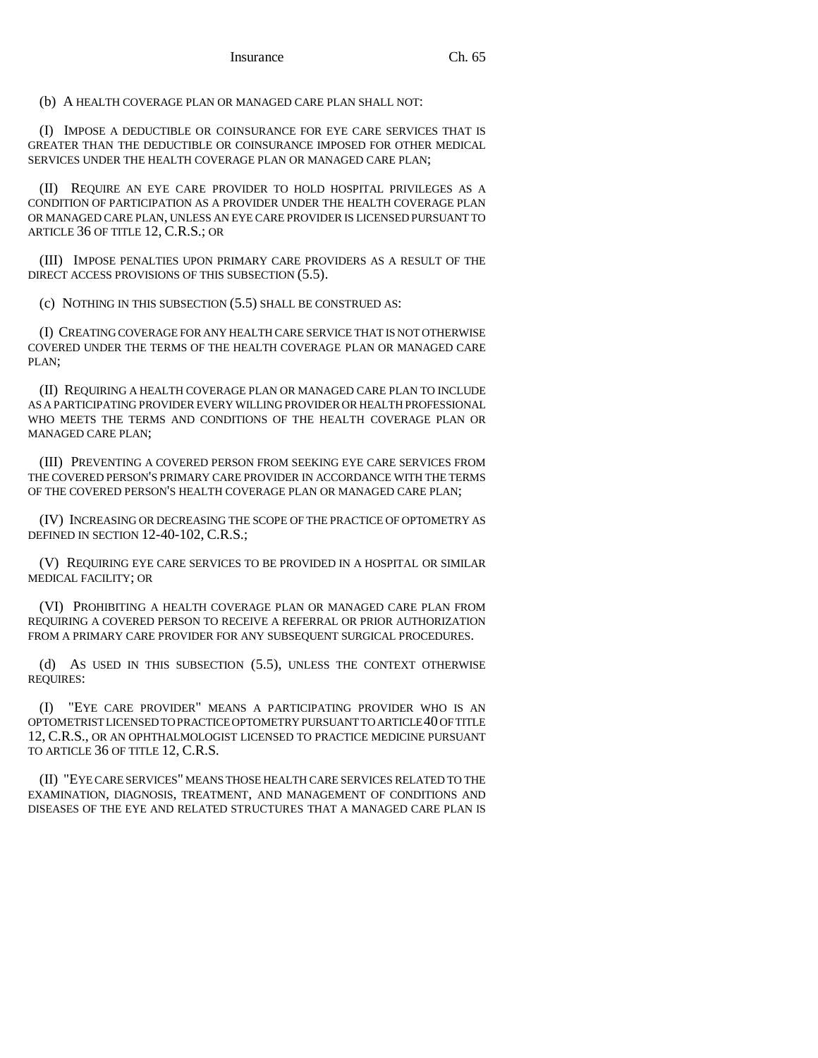(b) A HEALTH COVERAGE PLAN OR MANAGED CARE PLAN SHALL NOT:

(I) IMPOSE A DEDUCTIBLE OR COINSURANCE FOR EYE CARE SERVICES THAT IS GREATER THAN THE DEDUCTIBLE OR COINSURANCE IMPOSED FOR OTHER MEDICAL SERVICES UNDER THE HEALTH COVERAGE PLAN OR MANAGED CARE PLAN;

(II) REQUIRE AN EYE CARE PROVIDER TO HOLD HOSPITAL PRIVILEGES AS A CONDITION OF PARTICIPATION AS A PROVIDER UNDER THE HEALTH COVERAGE PLAN OR MANAGED CARE PLAN, UNLESS AN EYE CARE PROVIDER IS LICENSED PURSUANT TO ARTICLE 36 OF TITLE 12, C.R.S.; OR

(III) IMPOSE PENALTIES UPON PRIMARY CARE PROVIDERS AS A RESULT OF THE DIRECT ACCESS PROVISIONS OF THIS SUBSECTION (5.5).

(c) NOTHING IN THIS SUBSECTION (5.5) SHALL BE CONSTRUED AS:

(I) CREATING COVERAGE FOR ANY HEALTH CARE SERVICE THAT IS NOT OTHERWISE COVERED UNDER THE TERMS OF THE HEALTH COVERAGE PLAN OR MANAGED CARE PLAN;

(II) REQUIRING A HEALTH COVERAGE PLAN OR MANAGED CARE PLAN TO INCLUDE AS A PARTICIPATING PROVIDER EVERY WILLING PROVIDER OR HEALTH PROFESSIONAL WHO MEETS THE TERMS AND CONDITIONS OF THE HEALTH COVERAGE PLAN OR MANAGED CARE PLAN;

(III) PREVENTING A COVERED PERSON FROM SEEKING EYE CARE SERVICES FROM THE COVERED PERSON'S PRIMARY CARE PROVIDER IN ACCORDANCE WITH THE TERMS OF THE COVERED PERSON'S HEALTH COVERAGE PLAN OR MANAGED CARE PLAN;

(IV) INCREASING OR DECREASING THE SCOPE OF THE PRACTICE OF OPTOMETRY AS DEFINED IN SECTION 12-40-102, C.R.S.;

(V) REQUIRING EYE CARE SERVICES TO BE PROVIDED IN A HOSPITAL OR SIMILAR MEDICAL FACILITY; OR

(VI) PROHIBITING A HEALTH COVERAGE PLAN OR MANAGED CARE PLAN FROM REQUIRING A COVERED PERSON TO RECEIVE A REFERRAL OR PRIOR AUTHORIZATION FROM A PRIMARY CARE PROVIDER FOR ANY SUBSEQUENT SURGICAL PROCEDURES.

(d) AS USED IN THIS SUBSECTION (5.5), UNLESS THE CONTEXT OTHERWISE REQUIRES:

(I) "EYE CARE PROVIDER" MEANS A PARTICIPATING PROVIDER WHO IS AN OPTOMETRIST LICENSED TO PRACTICE OPTOMETRY PURSUANT TO ARTICLE 40 OF TITLE 12, C.R.S., OR AN OPHTHALMOLOGIST LICENSED TO PRACTICE MEDICINE PURSUANT TO ARTICLE 36 OF TITLE 12, C.R.S.

(II) "EYE CARE SERVICES" MEANS THOSE HEALTH CARE SERVICES RELATED TO THE EXAMINATION, DIAGNOSIS, TREATMENT, AND MANAGEMENT OF CONDITIONS AND DISEASES OF THE EYE AND RELATED STRUCTURES THAT A MANAGED CARE PLAN IS